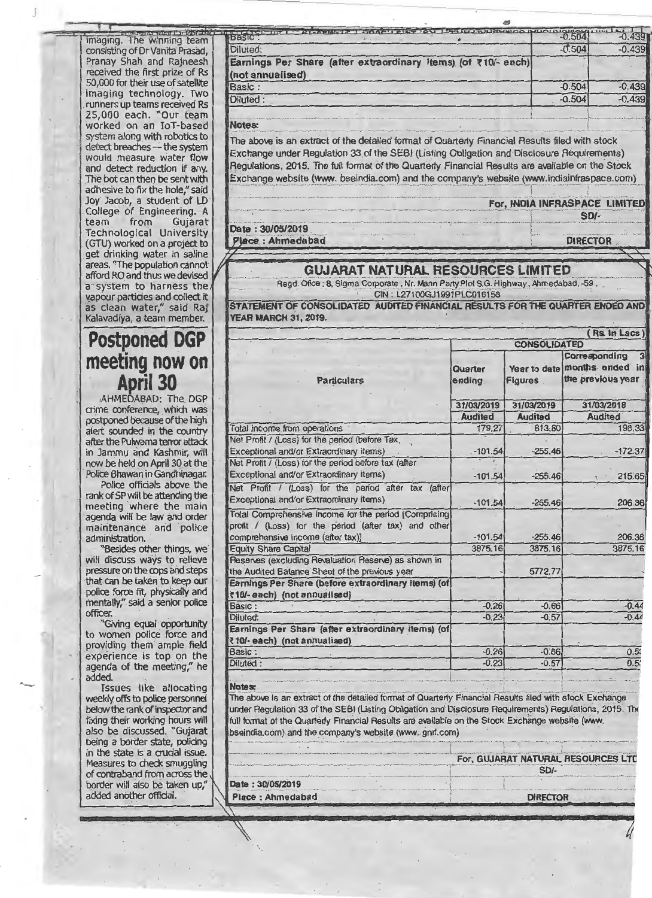imaging. The winning team consisting of Dr Vanita Prasad, Pranay Shah and Rajneesh received the first prize of Rs 50 ,000 for their use of satellite imaging technology. Two \_runners up teams received Rs 25,000 each. "Our team worked on an IoT-based system along with robotics to detect breaches - the system would measure water flow and detect reduction if any. The bot can then be sent with adhesive to fix the hole," said Joy Jacob, a student of LD College of Engineering. A<br>team from Gujarat team from Gujarat Technological University (GTU) worked on a project to get drinking water in saline<br>areas. "The population cannot vapour particles and collect it<br>as clean water," said Raj Kalavadiya, a team member. **YEAR MARCH 31, 2019.** 

## -**Postponed DGP meeting now on April 30-**

! ·I

> in the state is a crucial issue. Measures to check smuggling of contraband from across the border will also be taken up,'<br>added another official.

1915–1917 – FL-MELLETZ T. MOONTENS PART LEEDVERENG MOOD Diluted: Earnings Per Share (after extraordinary items) (of ₹10/- each)| (not annualised) Basic: Diluted:  $-0.439$ <br> $-0.504$   $-0.439$  $-0.439$ -0.504 -0.439  $-0.439$ 

## Notes:

**SECTION** 

-----·--·-----·---·--·-·---...... -.-· .. -~- ···-- ·- --- -·~ --- ~---------- --------- --- The above is an extract of the detailed format of Quarterly Financial Results filed with stock Exchange under Regulation 33 of the SEBI (Listing Obligation and Disclosure Requirements) Regulations, 2015. The full format of the Quarterly Financial R\_esults are available on the Stock Exchange website (www. bseindia.com) and the company's website (www.indiainfraspace.com)

For, INDIA INFRASPACE LIMITED<br>SD/-<br>Date : 30/05/2019

Oa te : 30/05/2019 \_ \_ \_ \_ -\_ l .. \_\_ \_\_\_ \_ \_ \_ \_ \_\_ v:Jac-e-: AllmeCl&bli<r - - - ------ - r oiRecrolf --

afford RO and thus we devised<br>a System to harness the Regd. Ofice : 8, Sigma Corporate , Nr. Mann Party Plot S.G. Highway , Ahmedaba<br>Regd. Ofice : 8, Sigma Corporate , Nr. Mann Party Plot S.G. Highway , Ahmedaba Regd. Ofice: 8, Sigma Corporate, Nr. Mann Party Plot S.G. Highway, Ahmedabad. -59.<br>CIN: L27100GJ1991PLC016158

STATEMENT OF CONSOLIDATED AUDITED FINANCIAL RESULTS FOR THE QUARTER ENDED AND

|                                                                                          | Rs. In Lacs)                                                                                                                                        |                     |                |                                                                                      |
|------------------------------------------------------------------------------------------|-----------------------------------------------------------------------------------------------------------------------------------------------------|---------------------|----------------|--------------------------------------------------------------------------------------|
| <b>Postponed DGP</b>                                                                     |                                                                                                                                                     | <b>CONSOLIDATED</b> |                |                                                                                      |
| meeting now on<br><b>April 30</b>                                                        | <b>Particulars</b>                                                                                                                                  | Quarter<br>ending   | <b>Figures</b> | Corresponding<br>3 <sup>1</sup><br>Year to date months ended in<br>the previous year |
| AHMEDABAD: The DGP                                                                       |                                                                                                                                                     | 31/03/2019          | 31/03/2019     | 31/03/2018                                                                           |
| crime conference, which was                                                              |                                                                                                                                                     | <b>Audited</b>      | <b>Audited</b> | <b>Audited</b>                                                                       |
| postponed because of the high<br>alert sounded in the country                            | Total income from operations                                                                                                                        | 179.27              | 813.80         | 198.33                                                                               |
| after the Pulwama terror attack                                                          | Net Profit / (Loss) for the period (before Tax,                                                                                                     |                     |                |                                                                                      |
| in Jammu and Kashmir, will                                                               | Exceptional and/or Extraordinary items)                                                                                                             | $-101.54$           | $-255.46$      | $-172.37$                                                                            |
| now be held on April 30 at the<br>Police Bhawan in Gandhinagar.                          | Net Profit / (Loss) for the period before tax (after<br>Exceptional and/or Extraordinary items)                                                     | $-101.54$           | $-255.46$      | 215.65                                                                               |
| Police officials above the<br>rank of SP will be attending the<br>meeting where the main | Net Profit / (Loss) for the period after tax (after<br>Exceptional and/or Extraordinary items)                                                      | $-101.54$           | $-255.46$      | 206.36                                                                               |
| agenda will be law and order<br>maintenance and police<br>administration.                | Total Comprehensive Income for the period [Comprising]<br>profit / (Loss) for the period (after tax) and other<br>comprehensive income (after tax)] | $-101.54$           | $-255.46$      | 206.36                                                                               |
| "Besides other things, we                                                                | <b>Equity Share Capital</b>                                                                                                                         | 3875.16             | 3875.16        | 3875.16                                                                              |
| will discuss ways to relieve<br>pressure on the cops and steps                           | Reserves (excluding Revaluation Reserve) as shown in<br>the Audited Balance Sheet of the previous year                                              |                     | 5772.77        |                                                                                      |
| that can be taken to keep our<br>police force fit, physically and                        | Earnings Per Share (before extraordinary items) (of<br>₹10/-each) (not annualised)                                                                  |                     |                |                                                                                      |
| mentally," said a senior police                                                          | Basic:                                                                                                                                              | $-0.26$             | $-0.66$        | $-0.44$                                                                              |
| officer.                                                                                 | Diluted:                                                                                                                                            | $-0.23$             | $-0.57$        | $-0.44$                                                                              |
| "Giving equal opportunity<br>to women police force and<br>providing them ample field     | Earnings Per Share (after extraordinary items) (of<br>₹10/- each) (not annualised)                                                                  |                     |                |                                                                                      |
| experience is top on the                                                                 | Basic:                                                                                                                                              | $-0.26$             | $-0.66$        | 0.53                                                                                 |
| agenda of the meeting," he<br>added.                                                     | Diluted:                                                                                                                                            | $-0.23$             | $-0.57$        | $0.5^{\circ}$                                                                        |
| Iccuse like allocation                                                                   | <b>Notae</b>                                                                                                                                        |                     |                |                                                                                      |

Issues like allocating **Notes:**<br>Weekly offs to police personnel The above is an extract of the detailed format of Quarterly Financial Results filed with stock Exchange. below the rank of inspector and under Regulation 33 of the SEBI (Listing Obligation and Disclosure Requirements) Regulations, 2015. The fixing their working hours will full format of the Quarterly Financial Results are available on the Stock Exchange website (www.<br>also be discussed. "Gujarat special company's website (www.gnrl.com) also be discussed. "Gujarat bseindia.com) and the company's website (www. gnrl.com) being a border state, policing

|                  | For, GUJARAT NATURAL RESOURCES LTD |
|------------------|------------------------------------|
|                  |                                    |
| Date: 30/05/2019 |                                    |
| Place: Ahmedabad | <b>DIRECTOR</b>                    |